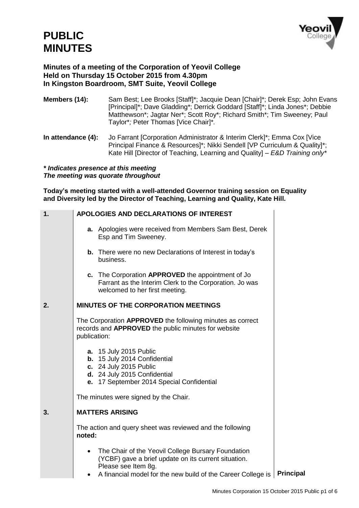

## **Minutes of a meeting of the Corporation of Yeovil College Held on Thursday 15 October 2015 from 4.30pm In Kingston Boardroom, SMT Suite, Yeovil College**

**Members (14):** Sam Best; Lee Brooks [Staff]\*; Jacquie Dean [Chair]\*; Derek Esp; John Evans [Principal]\*; Dave Gladding\*; Derrick Goddard [Staff]\*; Linda Jones\*; Debbie Matthewson\*; Jagtar Ner\*; Scott Roy\*; Richard Smith\*; Tim Sweeney; Paul Taylor\**;* Peter Thomas [Vice Chair]\**.* 

**In attendance (4):** Jo Farrant [Corporation Administrator & Interim Clerk]\*; Emma Cox [Vice Principal Finance & Resources]\*; Nikki Sendell [VP Curriculum & Quality]\*; Kate Hill [Director of Teaching, Learning and Quality] – *E&D Training only\**

*\* Indicates presence at this meeting The meeting was quorate throughout*

**Today's meeting started with a well-attended Governor training session on Equality and Diversity led by the Director of Teaching, Learning and Quality, Kate Hill.** 

| 1. | APOLOGIES AND DECLARATIONS OF INTEREST                                                                                                                                                            |           |
|----|---------------------------------------------------------------------------------------------------------------------------------------------------------------------------------------------------|-----------|
|    | a. Apologies were received from Members Sam Best, Derek<br>Esp and Tim Sweeney.                                                                                                                   |           |
|    | <b>b.</b> There were no new Declarations of Interest in today's<br>business.                                                                                                                      |           |
|    | c. The Corporation APPROVED the appointment of Jo<br>Farrant as the Interim Clerk to the Corporation. Jo was<br>welcomed to her first meeting.                                                    |           |
| 2. | <b>MINUTES OF THE CORPORATION MEETINGS</b>                                                                                                                                                        |           |
|    | The Corporation APPROVED the following minutes as correct<br>records and APPROVED the public minutes for website<br>publication:                                                                  |           |
|    | <b>a.</b> 15 July 2015 Public<br>b. 15 July 2014 Confidential<br>c. 24 July 2015 Public<br>d. 24 July 2015 Confidential<br>e. 17 September 2014 Special Confidential                              |           |
|    | The minutes were signed by the Chair.                                                                                                                                                             |           |
| 3. | <b>MATTERS ARISING</b>                                                                                                                                                                            |           |
|    | The action and query sheet was reviewed and the following<br>noted:                                                                                                                               |           |
|    | The Chair of the Yeovil College Bursary Foundation<br>(YCBF) gave a brief update on its current situation.<br>Please see Item 8g.<br>A financial model for the new build of the Career College is | Principal |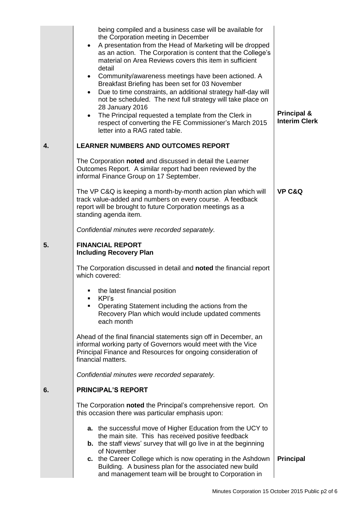|              | being compiled and a business case will be available for<br>the Corporation meeting in December<br>A presentation from the Head of Marketing will be dropped<br>$\bullet$<br>as an action. The Corporation is content that the College's<br>material on Area Reviews covers this item in sufficient<br>detail<br>• Community/awareness meetings have been actioned. A<br>Breakfast Briefing has been set for 03 November<br>Due to time constraints, an additional strategy half-day will<br>$\bullet$<br>not be scheduled. The next full strategy will take place on<br>28 January 2016<br>The Principal requested a template from the Clerk in<br>$\bullet$<br>respect of converting the FE Commissioner's March 2015<br>letter into a RAG rated table. | <b>Principal &amp;</b><br><b>Interim Clerk</b> |
|--------------|-----------------------------------------------------------------------------------------------------------------------------------------------------------------------------------------------------------------------------------------------------------------------------------------------------------------------------------------------------------------------------------------------------------------------------------------------------------------------------------------------------------------------------------------------------------------------------------------------------------------------------------------------------------------------------------------------------------------------------------------------------------|------------------------------------------------|
| $\mathbf{4}$ | <b>LEARNER NUMBERS AND OUTCOMES REPORT</b>                                                                                                                                                                                                                                                                                                                                                                                                                                                                                                                                                                                                                                                                                                                |                                                |
|              | The Corporation noted and discussed in detail the Learner<br>Outcomes Report. A similar report had been reviewed by the<br>informal Finance Group on 17 September.                                                                                                                                                                                                                                                                                                                                                                                                                                                                                                                                                                                        |                                                |
|              | The VP C&Q is keeping a month-by-month action plan which will<br>track value-added and numbers on every course. A feedback<br>report will be brought to future Corporation meetings as a<br>standing agenda item.                                                                                                                                                                                                                                                                                                                                                                                                                                                                                                                                         | <b>VP C&amp;Q</b>                              |
|              | Confidential minutes were recorded separately.                                                                                                                                                                                                                                                                                                                                                                                                                                                                                                                                                                                                                                                                                                            |                                                |
| 5.           | <b>FINANCIAL REPORT</b><br><b>Including Recovery Plan</b>                                                                                                                                                                                                                                                                                                                                                                                                                                                                                                                                                                                                                                                                                                 |                                                |
|              | The Corporation discussed in detail and noted the financial report<br>which covered:                                                                                                                                                                                                                                                                                                                                                                                                                                                                                                                                                                                                                                                                      |                                                |
|              | the latest financial position<br>٠<br>KPI's<br>٠<br>Operating Statement including the actions from the<br>$\blacksquare$<br>Recovery Plan which would include updated comments<br>each month                                                                                                                                                                                                                                                                                                                                                                                                                                                                                                                                                              |                                                |
|              | Ahead of the final financial statements sign off in December, an<br>informal working party of Governors would meet with the Vice<br>Principal Finance and Resources for ongoing consideration of<br>financial matters.                                                                                                                                                                                                                                                                                                                                                                                                                                                                                                                                    |                                                |
|              | Confidential minutes were recorded separately.                                                                                                                                                                                                                                                                                                                                                                                                                                                                                                                                                                                                                                                                                                            |                                                |
| 6.           | <b>PRINCIPAL'S REPORT</b>                                                                                                                                                                                                                                                                                                                                                                                                                                                                                                                                                                                                                                                                                                                                 |                                                |
|              | The Corporation noted the Principal's comprehensive report. On<br>this occasion there was particular emphasis upon:                                                                                                                                                                                                                                                                                                                                                                                                                                                                                                                                                                                                                                       |                                                |
|              | <b>a.</b> the successful move of Higher Education from the UCY to<br>the main site. This has received positive feedback<br><b>b.</b> the staff views' survey that will go live in at the beginning<br>of November                                                                                                                                                                                                                                                                                                                                                                                                                                                                                                                                         |                                                |
|              | c. the Career College which is now operating in the Ashdown<br>Building. A business plan for the associated new build<br>and management team will be brought to Corporation in                                                                                                                                                                                                                                                                                                                                                                                                                                                                                                                                                                            | <b>Principal</b>                               |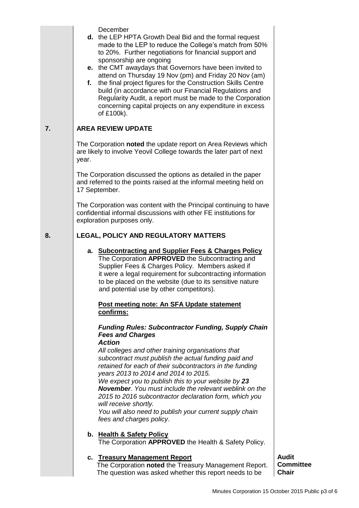- **d.** the LEP HPTA Growth Deal Bid and the formal request made to the LEP to reduce the College's match from 50% to 20%. Further negotiations for financial support and sponsorship are ongoing
- **e.** the CMT awaydays that Governors have been invited to attend on Thursday 19 Nov (pm) and Friday 20 Nov (am)
- **f.** the final project figures for the Construction Skills Centre build (in accordance with our Financial Regulations and Regularity Audit, a report must be made to the Corporation concerning capital projects on any expenditure in excess of £100k).

#### **7. AREA REVIEW UPDATE**

The Corporation **noted** the update report on Area Reviews which are likely to involve Yeovil College towards the later part of next year.

The Corporation discussed the options as detailed in the paper and referred to the points raised at the informal meeting held on 17 September.

The Corporation was content with the Principal continuing to have confidential informal discussions with other FE institutions for exploration purposes only.

#### **8. LEGAL, POLICY AND REGULATORY MATTERS**

**a. Subcontracting and Supplier Fees & Charges Policy** The Corporation **APPROVED** the Subcontracting and Supplier Fees & Charges Policy. Members asked if

 it were a legal requirement for subcontracting information to be placed on the website (due to its sensitive nature and potential use by other competitors).

#### **Post meeting note: An SFA Update statement confirms:**

# *Funding Rules: Subcontractor Funding, Supply Chain Fees and Charges*

*Action*

*All colleges and other training organisations that subcontract must publish the actual funding paid and retained for each of their subcontractors in the funding years 2013 to 2014 and 2014 to 2015.*

*We expect you to publish this to your website by 23 November. You must include the relevant weblink on the 2015 to 2016 subcontractor declaration form, which you will receive shortly.* 

*You will also need to publish your current supply chain fees and charges policy*.

## **b. Health & Safety Policy**

The Corporation **APPROVED** the Health & Safety Policy.

## **c. Treasury Management Report**

 The Corporation **noted** the Treasury Management Report. The question was asked whether this report needs to be

**Audit Committee Chair**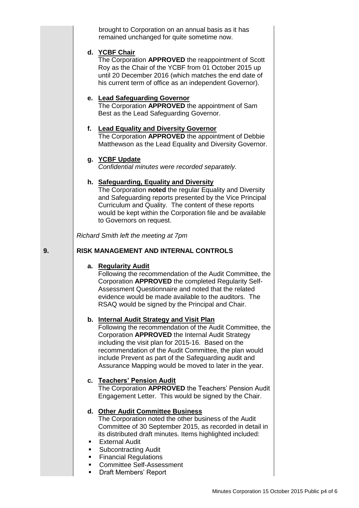brought to Corporation on an annual basis as it has remained unchanged for quite sometime now.

#### **d. YCBF Chair**

The Corporation **APPROVED** the reappointment of Scott Roy as the Chair of the YCBF from 01 October 2015 up until 20 December 2016 (which matches the end date of his current term of office as an independent Governor).

#### **e. Lead Safeguarding Governor**

The Corporation **APPROVED** the appointment of Sam Best as the Lead Safeguarding Governor.

## **f. Lead Equality and Diversity Governor**

The Corporation **APPROVED** the appointment of Debbie Matthewson as the Lead Equality and Diversity Governor.

## **g. YCBF Update**

*Confidential minutes were recorded separately.*

#### **h. Safeguarding, Equality and Diversity**

The Corporation **noted** the regular Equality and Diversity and Safeguarding reports presented by the Vice Principal Curriculum and Quality. The content of these reports would be kept within the Corporation file and be available to Governors on request.

*Richard Smith left the meeting at 7pm*

#### **RISK MANAGEMENT AND INTERNAL CONTROLS**

#### **a. Regularity Audit**

**9.**

Following the recommendation of the Audit Committee, the Corporation **APPROVED** the completed Regularity Self-Assessment Questionnaire and noted that the related evidence would be made available to the auditors. The RSAQ would be signed by the Principal and Chair.

## **b. Internal Audit Strategy and Visit Plan**

Following the recommendation of the Audit Committee, the Corporation **APPROVED** the Internal Audit Strategy including the visit plan for 2015-16. Based on the recommendation of the Audit Committee, the plan would include Prevent as part of the Safeguarding audit and Assurance Mapping would be moved to later in the year.

## **c. Teachers' Pension Audit**

The Corporation **APPROVED** the Teachers' Pension Audit Engagement Letter. This would be signed by the Chair.

## **d. Other Audit Committee Business**

The Corporation noted the other business of the Audit Committee of 30 September 2015, as recorded in detail in its distributed draft minutes. Items highlighted included:

- External Audit
- Subcontracting Audit
- Financial Regulations
- Committee Self-Assessment
- **Draft Members' Report**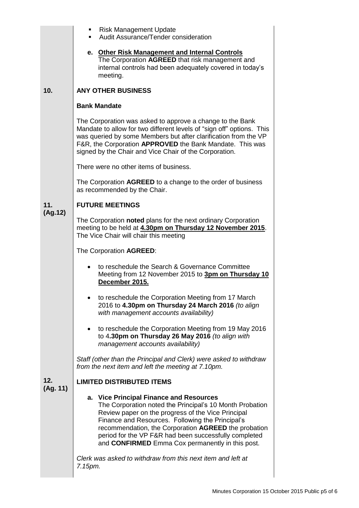|                 | <b>Risk Management Update</b><br>Audit Assurance/Tender consideration                                                                                                                                                                                                                                                                                                              |  |  |
|-----------------|------------------------------------------------------------------------------------------------------------------------------------------------------------------------------------------------------------------------------------------------------------------------------------------------------------------------------------------------------------------------------------|--|--|
|                 | e. Other Risk Management and Internal Controls<br>The Corporation AGREED that risk management and<br>internal controls had been adequately covered in today's<br>meeting.                                                                                                                                                                                                          |  |  |
| 10.             | <b>ANY OTHER BUSINESS</b>                                                                                                                                                                                                                                                                                                                                                          |  |  |
|                 | <b>Bank Mandate</b>                                                                                                                                                                                                                                                                                                                                                                |  |  |
| 11.<br>(Ag.12)  | The Corporation was asked to approve a change to the Bank<br>Mandate to allow for two different levels of "sign off" options. This<br>was queried by some Members but after clarification from the VP<br>F&R, the Corporation APPROVED the Bank Mandate. This was<br>signed by the Chair and Vice Chair of the Corporation.                                                        |  |  |
|                 | There were no other items of business.                                                                                                                                                                                                                                                                                                                                             |  |  |
|                 | The Corporation AGREED to a change to the order of business<br>as recommended by the Chair.                                                                                                                                                                                                                                                                                        |  |  |
|                 | <b>FUTURE MEETINGS</b>                                                                                                                                                                                                                                                                                                                                                             |  |  |
|                 | The Corporation noted plans for the next ordinary Corporation<br>meeting to be held at 4.30pm on Thursday 12 November 2015.<br>The Vice Chair will chair this meeting                                                                                                                                                                                                              |  |  |
|                 | The Corporation AGREED:                                                                                                                                                                                                                                                                                                                                                            |  |  |
|                 | to reschedule the Search & Governance Committee<br>Meeting from 12 November 2015 to 3pm on Thursday 10<br>December 2015.                                                                                                                                                                                                                                                           |  |  |
| 12.<br>(Ag. 11) | to reschedule the Corporation Meeting from 17 March<br>2016 to 4.30pm on Thursday 24 March 2016 (to align<br>with management accounts availability)                                                                                                                                                                                                                                |  |  |
|                 | to reschedule the Corporation Meeting from 19 May 2016<br>$\bullet$<br>to 4.30pm on Thursday 26 May 2016 (to align with<br>management accounts availability)                                                                                                                                                                                                                       |  |  |
|                 | Staff (other than the Principal and Clerk) were asked to withdraw<br>from the next item and left the meeting at 7.10pm.                                                                                                                                                                                                                                                            |  |  |
|                 | <b>LIMITED DISTRIBUTED ITEMS</b>                                                                                                                                                                                                                                                                                                                                                   |  |  |
|                 | a. Vice Principal Finance and Resources<br>The Corporation noted the Principal's 10 Month Probation<br>Review paper on the progress of the Vice Principal<br>Finance and Resources. Following the Principal's<br>recommendation, the Corporation AGREED the probation<br>period for the VP F&R had been successfully completed<br>and CONFIRMED Emma Cox permanently in this post. |  |  |
|                 | Clerk was asked to withdraw from this next item and left at<br>7.15pm.                                                                                                                                                                                                                                                                                                             |  |  |